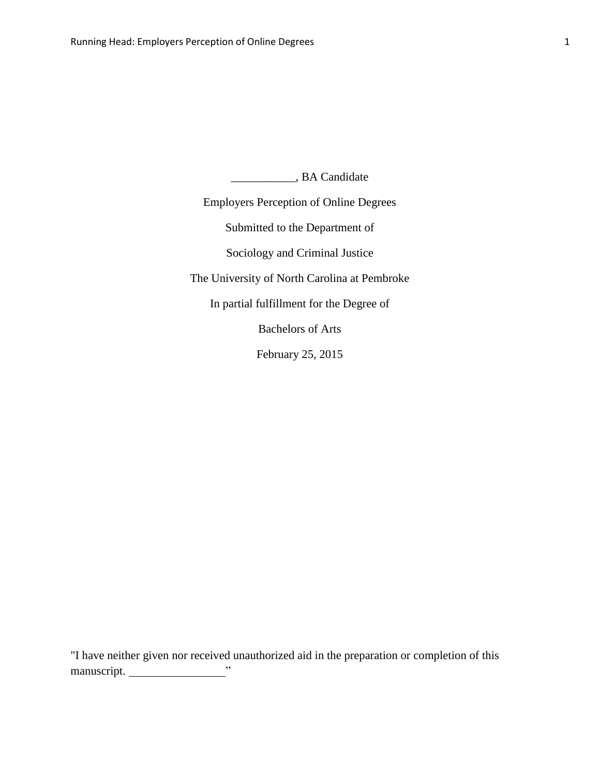\_\_\_\_\_\_\_\_\_\_\_, BA Candidate

Employers Perception of Online Degrees Submitted to the Department of Sociology and Criminal Justice The University of North Carolina at Pembroke In partial fulfillment for the Degree of Bachelors of Arts February 25, 2015

"I have neither given nor received unauthorized aid in the preparation or completion of this manuscript. Values of the set of the set of the set of the set of the set of the set of the set of the set of the set of the set of the set of the set of the set of the set of the set of the set of the set of the set of th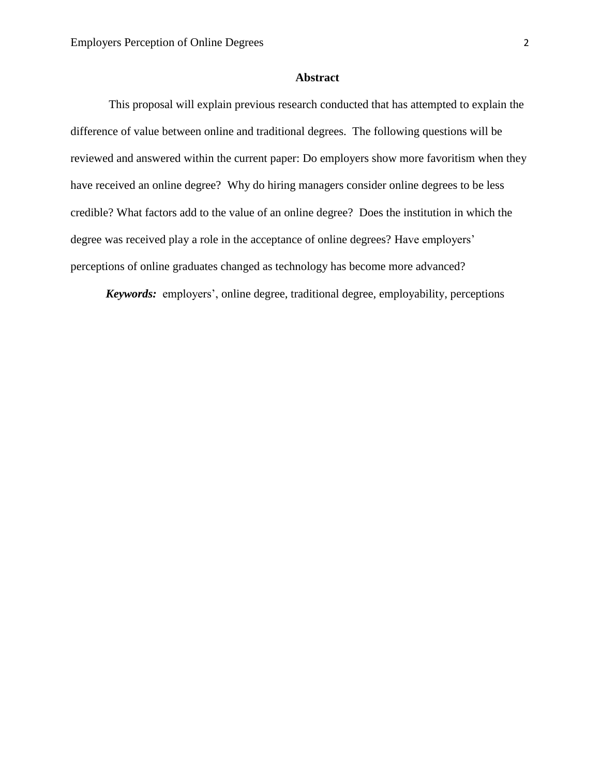### **Abstract**

This proposal will explain previous research conducted that has attempted to explain the difference of value between online and traditional degrees. The following questions will be reviewed and answered within the current paper: Do employers show more favoritism when they have received an online degree? Why do hiring managers consider online degrees to be less credible? What factors add to the value of an online degree? Does the institution in which the degree was received play a role in the acceptance of online degrees? Have employers' perceptions of online graduates changed as technology has become more advanced?

*Keywords:* employers', online degree, traditional degree, employability, perceptions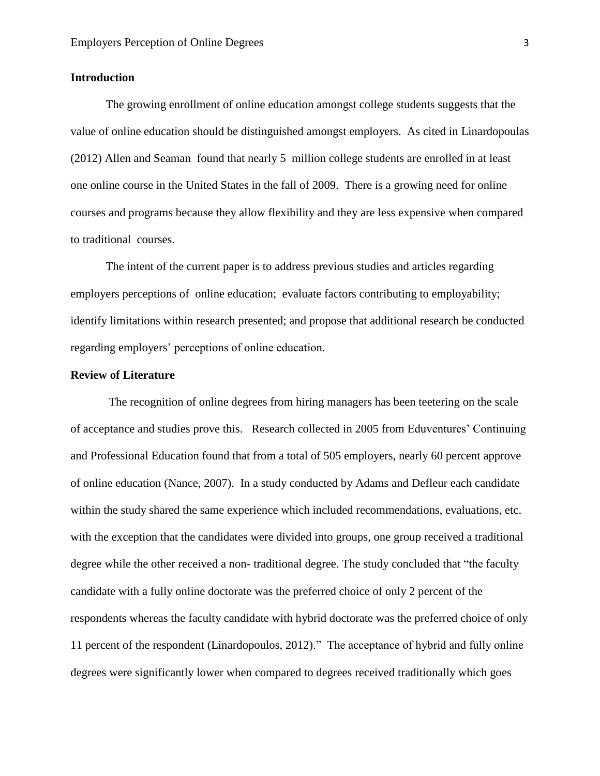## **Introduction**

The growing enrollment of online education amongst college students suggests that the value of online education should be distinguished amongst employers. As cited in Linardopoulas (2012) Allen and Seaman found that nearly 5 million college students are enrolled in at least one online course in the United States in the fall of 2009. There is a growing need for online courses and programs because they allow flexibility and they are less expensive when compared to traditional courses.

The intent of the current paper is to address previous studies and articles regarding employers perceptions of online education; evaluate factors contributing to employability; identify limitations within research presented; and propose that additional research be conducted regarding employers' perceptions of online education.

### **Review of Literature**

The recognition of online degrees from hiring managers has been teetering on the scale of acceptance and studies prove this. Research collected in 2005 from Eduventures' Continuing and Professional Education found that from a total of 505 employers, nearly 60 percent approve of online education (Nance, 2007). In a study conducted by Adams and Defleur each candidate within the study shared the same experience which included recommendations, evaluations, etc. with the exception that the candidates were divided into groups, one group received a traditional degree while the other received a non- traditional degree. The study concluded that "the faculty candidate with a fully online doctorate was the preferred choice of only 2 percent of the respondents whereas the faculty candidate with hybrid doctorate was the preferred choice of only 11 percent of the respondent (Linardopoulos, 2012)." The acceptance of hybrid and fully online degrees were significantly lower when compared to degrees received traditionally which goes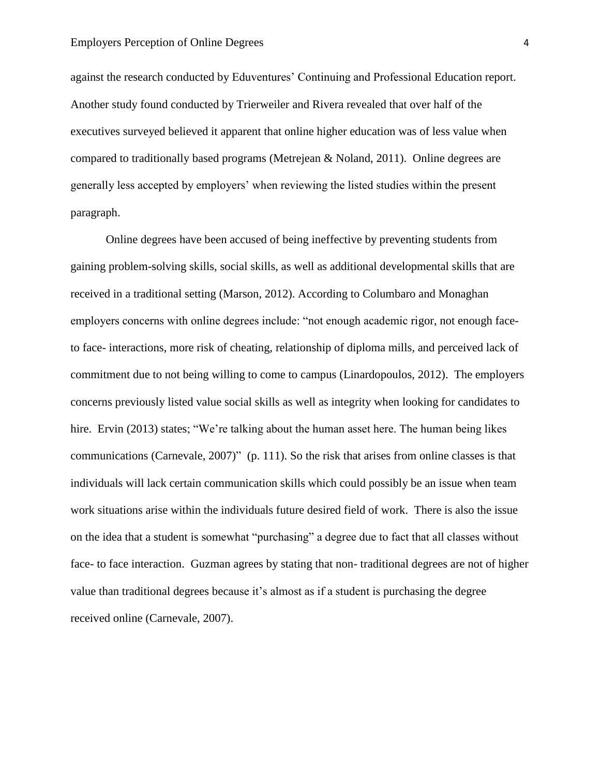against the research conducted by Eduventures' Continuing and Professional Education report. Another study found conducted by Trierweiler and Rivera revealed that over half of the executives surveyed believed it apparent that online higher education was of less value when compared to traditionally based programs (Metrejean & Noland, 2011). Online degrees are generally less accepted by employers' when reviewing the listed studies within the present paragraph.

Online degrees have been accused of being ineffective by preventing students from gaining problem-solving skills, social skills, as well as additional developmental skills that are received in a traditional setting (Marson, 2012). According to Columbaro and Monaghan employers concerns with online degrees include: "not enough academic rigor, not enough faceto face- interactions, more risk of cheating, relationship of diploma mills, and perceived lack of commitment due to not being willing to come to campus (Linardopoulos, 2012). The employers concerns previously listed value social skills as well as integrity when looking for candidates to hire. Ervin (2013) states; "We're talking about the human asset here. The human being likes communications (Carnevale, 2007)" (p. 111). So the risk that arises from online classes is that individuals will lack certain communication skills which could possibly be an issue when team work situations arise within the individuals future desired field of work. There is also the issue on the idea that a student is somewhat "purchasing" a degree due to fact that all classes without face- to face interaction. Guzman agrees by stating that non- traditional degrees are not of higher value than traditional degrees because it's almost as if a student is purchasing the degree received online (Carnevale, 2007).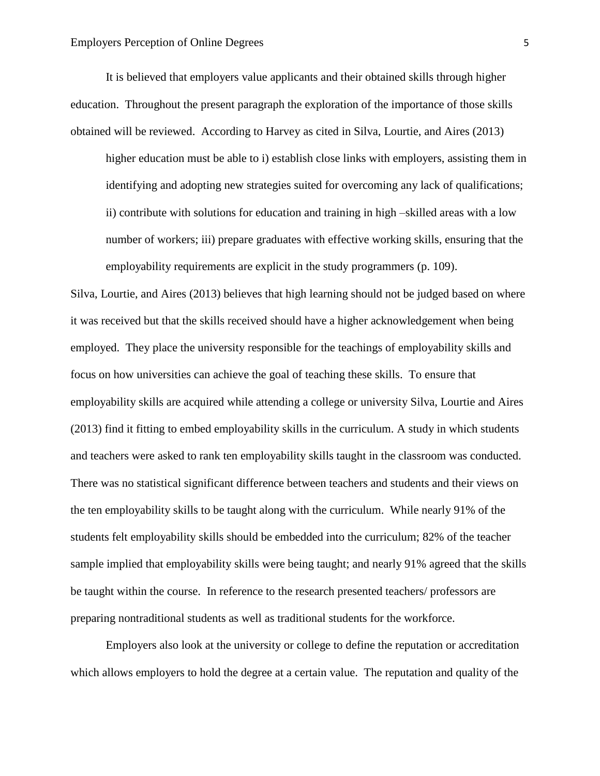It is believed that employers value applicants and their obtained skills through higher education. Throughout the present paragraph the exploration of the importance of those skills obtained will be reviewed. According to Harvey as cited in Silva, Lourtie, and Aires (2013)

higher education must be able to i) establish close links with employers, assisting them in identifying and adopting new strategies suited for overcoming any lack of qualifications; ii) contribute with solutions for education and training in high –skilled areas with a low number of workers; iii) prepare graduates with effective working skills, ensuring that the employability requirements are explicit in the study programmers (p. 109).

Silva, Lourtie, and Aires (2013) believes that high learning should not be judged based on where it was received but that the skills received should have a higher acknowledgement when being employed. They place the university responsible for the teachings of employability skills and focus on how universities can achieve the goal of teaching these skills. To ensure that employability skills are acquired while attending a college or university Silva, Lourtie and Aires (2013) find it fitting to embed employability skills in the curriculum. A study in which students and teachers were asked to rank ten employability skills taught in the classroom was conducted. There was no statistical significant difference between teachers and students and their views on the ten employability skills to be taught along with the curriculum. While nearly 91% of the students felt employability skills should be embedded into the curriculum; 82% of the teacher sample implied that employability skills were being taught; and nearly 91% agreed that the skills be taught within the course. In reference to the research presented teachers/ professors are preparing nontraditional students as well as traditional students for the workforce.

Employers also look at the university or college to define the reputation or accreditation which allows employers to hold the degree at a certain value. The reputation and quality of the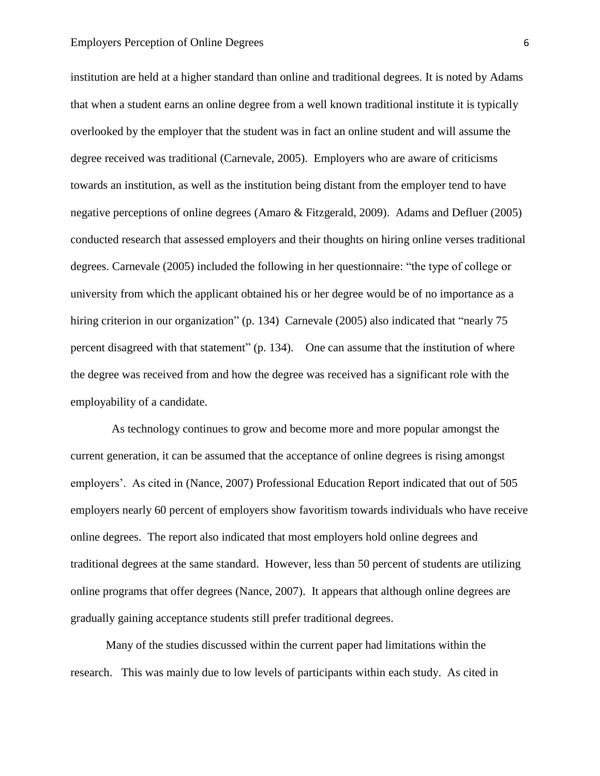institution are held at a higher standard than online and traditional degrees. It is noted by Adams that when a student earns an online degree from a well known traditional institute it is typically overlooked by the employer that the student was in fact an online student and will assume the degree received was traditional (Carnevale, 2005). Employers who are aware of criticisms towards an institution, as well as the institution being distant from the employer tend to have negative perceptions of online degrees (Amaro & Fitzgerald, 2009). Adams and Defluer (2005) conducted research that assessed employers and their thoughts on hiring online verses traditional degrees. Carnevale (2005) included the following in her questionnaire: "the type of college or university from which the applicant obtained his or her degree would be of no importance as a hiring criterion in our organization" (p. 134) Carnevale (2005) also indicated that "nearly 75 percent disagreed with that statement" (p. 134). One can assume that the institution of where the degree was received from and how the degree was received has a significant role with the employability of a candidate.

As technology continues to grow and become more and more popular amongst the current generation, it can be assumed that the acceptance of online degrees is rising amongst employers'. As cited in (Nance, 2007) Professional Education Report indicated that out of 505 employers nearly 60 percent of employers show favoritism towards individuals who have receive online degrees. The report also indicated that most employers hold online degrees and traditional degrees at the same standard. However, less than 50 percent of students are utilizing online programs that offer degrees (Nance, 2007). It appears that although online degrees are gradually gaining acceptance students still prefer traditional degrees.

Many of the studies discussed within the current paper had limitations within the research. This was mainly due to low levels of participants within each study. As cited in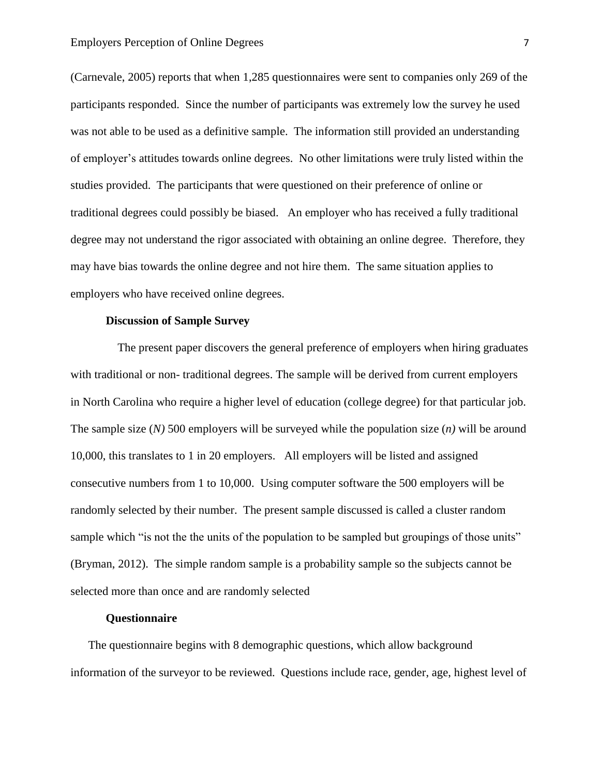(Carnevale, 2005) reports that when 1,285 questionnaires were sent to companies only 269 of the participants responded. Since the number of participants was extremely low the survey he used was not able to be used as a definitive sample. The information still provided an understanding of employer's attitudes towards online degrees. No other limitations were truly listed within the studies provided. The participants that were questioned on their preference of online or traditional degrees could possibly be biased. An employer who has received a fully traditional degree may not understand the rigor associated with obtaining an online degree. Therefore, they may have bias towards the online degree and not hire them. The same situation applies to employers who have received online degrees.

### **Discussion of Sample Survey**

The present paper discovers the general preference of employers when hiring graduates with traditional or non- traditional degrees. The sample will be derived from current employers in North Carolina who require a higher level of education (college degree) for that particular job. The sample size (*N)* 500 employers will be surveyed while the population size (*n)* will be around 10,000, this translates to 1 in 20 employers. All employers will be listed and assigned consecutive numbers from 1 to 10,000. Using computer software the 500 employers will be randomly selected by their number. The present sample discussed is called a cluster random sample which "is not the the units of the population to be sampled but groupings of those units" (Bryman, 2012). The simple random sample is a probability sample so the subjects cannot be selected more than once and are randomly selected

### **Questionnaire**

The questionnaire begins with 8 demographic questions, which allow background information of the surveyor to be reviewed. Questions include race, gender, age, highest level of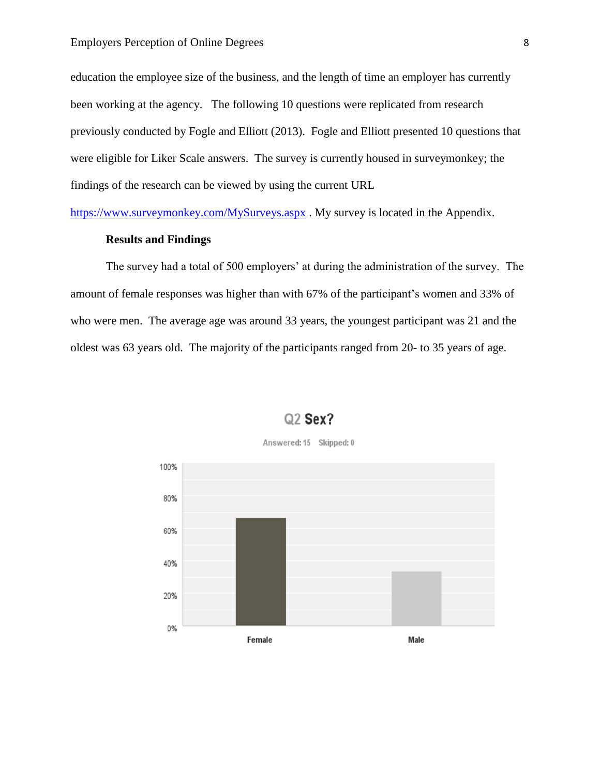#### Employers Perception of Online Degrees 8

education the employee size of the business, and the length of time an employer has currently been working at the agency. The following 10 questions were replicated from research previously conducted by Fogle and Elliott (2013). Fogle and Elliott presented 10 questions that were eligible for Liker Scale answers. The survey is currently housed in surveymonkey; the findings of the research can be viewed by using the current URL

<https://www.surveymonkey.com/MySurveys.aspx> . My survey is located in the Appendix.

### **Results and Findings**

The survey had a total of 500 employers' at during the administration of the survey. The amount of female responses was higher than with 67% of the participant's women and 33% of who were men. The average age was around 33 years, the youngest participant was 21 and the oldest was 63 years old. The majority of the participants ranged from 20- to 35 years of age.



## Q<sub>2</sub> Sex?

Answered: 15 Skipped: 0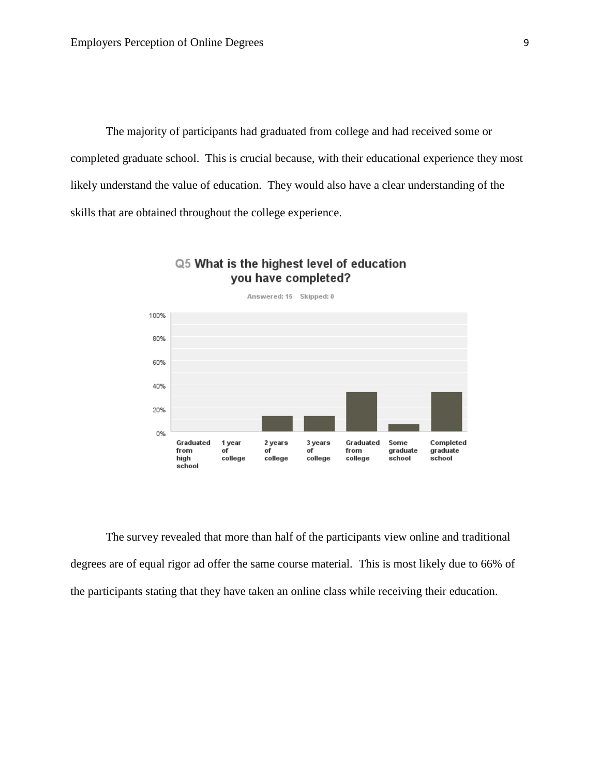The majority of participants had graduated from college and had received some or completed graduate school. This is crucial because, with their educational experience they most likely understand the value of education. They would also have a clear understanding of the skills that are obtained throughout the college experience.



## Q5 What is the highest level of education you have completed?

The survey revealed that more than half of the participants view online and traditional degrees are of equal rigor ad offer the same course material. This is most likely due to 66% of the participants stating that they have taken an online class while receiving their education.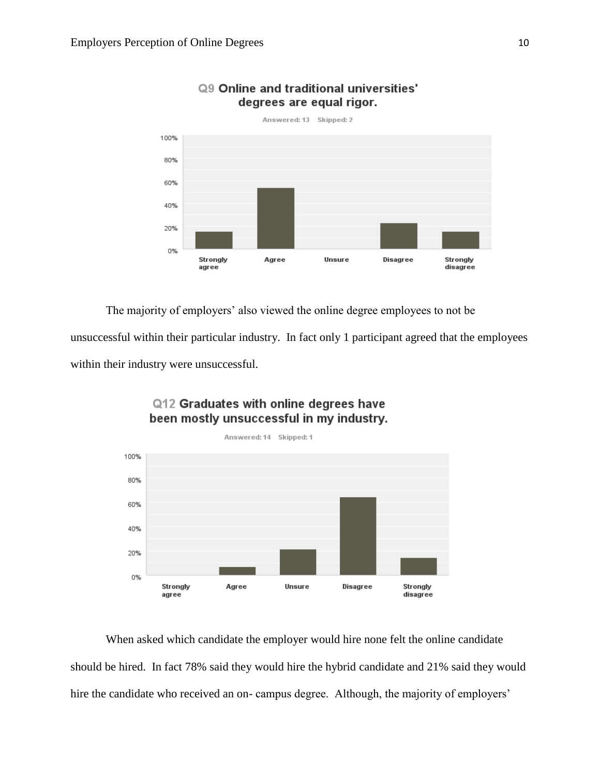

## ©9 Online and traditional universities' degrees are equal rigor.

The majority of employers' also viewed the online degree employees to not be

unsuccessful within their particular industry. In fact only 1 participant agreed that the employees within their industry were unsuccessful.



# Q12 Graduates with online degrees have been mostly unsuccessful in my industry.

When asked which candidate the employer would hire none felt the online candidate should be hired. In fact 78% said they would hire the hybrid candidate and 21% said they would hire the candidate who received an on- campus degree. Although, the majority of employers'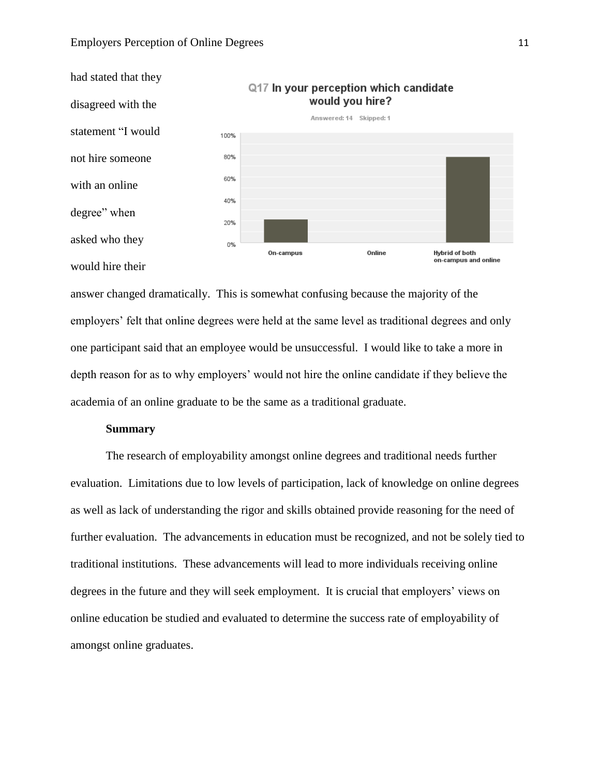

answer changed dramatically. This is somewhat confusing because the majority of the employers' felt that online degrees were held at the same level as traditional degrees and only one participant said that an employee would be unsuccessful. I would like to take a more in depth reason for as to why employers' would not hire the online candidate if they believe the academia of an online graduate to be the same as a traditional graduate.

### **Summary**

The research of employability amongst online degrees and traditional needs further evaluation. Limitations due to low levels of participation, lack of knowledge on online degrees as well as lack of understanding the rigor and skills obtained provide reasoning for the need of further evaluation. The advancements in education must be recognized, and not be solely tied to traditional institutions. These advancements will lead to more individuals receiving online degrees in the future and they will seek employment. It is crucial that employers' views on online education be studied and evaluated to determine the success rate of employability of amongst online graduates.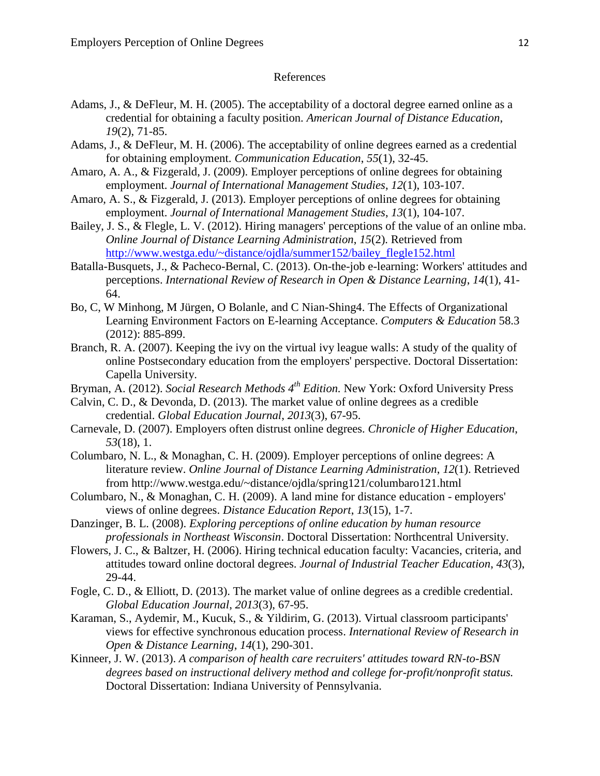#### References

- Adams, J., & DeFleur, M. H. (2005). The acceptability of a doctoral degree earned online as a credential for obtaining a faculty position. *American Journal of Distance Education*, *19*(2), 71-85.
- Adams, J., & DeFleur, M. H. (2006). The acceptability of online degrees earned as a credential for obtaining employment. *Communication Education*, *55*(1), 32-45.
- Amaro, A. A., & Fizgerald, J. (2009). Employer perceptions of online degrees for obtaining employment. *Journal of International Management Studies*, *12*(1), 103-107.
- Amaro, A. S., & Fizgerald, J. (2013). Employer perceptions of online degrees for obtaining employment. *Journal of International Management Studies*, *13*(1), 104-107.
- Bailey, J. S., & Flegle, L. V. (2012). Hiring managers' perceptions of the value of an online mba. *Online Journal of Distance Learning Administration*, *15*(2). Retrieved from [http://www.westga.edu/~distance/ojdla/summer152/bailey\\_flegle152.html](http://www.westga.edu/~distance/ojdla/summer152/bailey_flegle152.html)
- Batalla-Busquets, J., & Pacheco-Bernal, C. (2013). On-the-job e-learning: Workers' attitudes and perceptions. *International Review of Research in Open & Distance Learning*, *14*(1), 41- 64.
- Bo, C, W Minhong, M Jürgen, O Bolanle, and C Nian-Shing4. The Effects of Organizational Learning Environment Factors on E-learning Acceptance. *Computers & Education* 58.3 (2012): 885-899.
- Branch, R. A. (2007). Keeping the ivy on the virtual ivy league walls: A study of the quality of online Postsecondary education from the employers' perspective. Doctoral Dissertation: Capella University.
- Bryman, A. (2012). *Social Research Methods 4th Edition.* New York: Oxford University Press

Calvin, C. D., & Devonda, D. (2013). The market value of online degrees as a credible credential. *Global Education Journal*, *2013*(3), 67-95.

- Carnevale, D. (2007). Employers often distrust online degrees. *Chronicle of Higher Education*, *53*(18), 1.
- Columbaro, N. L., & Monaghan, C. H. (2009). Employer perceptions of online degrees: A literature review. *Online Journal of Distance Learning Administration*, *12*(1). Retrieved from http://www.westga.edu/~distance/ojdla/spring121/columbaro121.html
- Columbaro, N., & Monaghan, C. H. (2009). A land mine for distance education employers' views of online degrees. *Distance Education Report*, *13*(15), 1-7.
- Danzinger, B. L. (2008). *Exploring perceptions of online education by human resource professionals in Northeast Wisconsin*. Doctoral Dissertation: Northcentral University.
- Flowers, J. C., & Baltzer, H. (2006). Hiring technical education faculty: Vacancies, criteria, and attitudes toward online doctoral degrees. *Journal of Industrial Teacher Education*, *43*(3), 29-44.
- Fogle, C. D., & Elliott, D. (2013). The market value of online degrees as a credible credential. *Global Education Journal*, *2013*(3), 67-95.
- Karaman, S., Aydemir, M., Kucuk, S., & Yildirim, G. (2013). Virtual classroom participants' views for effective synchronous education process. *International Review of Research in Open & Distance Learning*, *14*(1), 290-301.
- Kinneer, J. W. (2013). *A comparison of health care recruiters' attitudes toward RN-to-BSN degrees based on instructional delivery method and college for-profit/nonprofit status.* Doctoral Dissertation: Indiana University of Pennsylvania.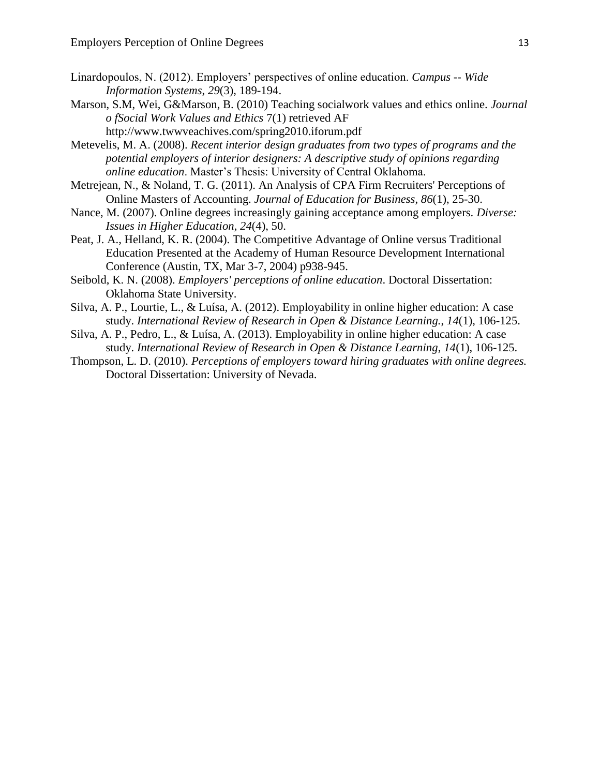- Linardopoulos, N. (2012). Employers' perspectives of online education. *Campus -- Wide Information Systems*, *29*(3), 189-194.
- Marson, S.M, Wei, G&Marson, B. (2010) Teaching socialwork values and ethics online. *Journal o fSocial Work Values and Ethics* 7(1) retrieved AF http://www.twwveachives.com/spring2010.iforum.pdf
- Metevelis, M. A. (2008). *Recent interior design graduates from two types of programs and the potential employers of interior designers: A descriptive study of opinions regarding online education*. Master's Thesis: University of Central Oklahoma.
- Metrejean, N., & Noland, T. G. (2011). An Analysis of CPA Firm Recruiters' Perceptions of Online Masters of Accounting. *Journal of Education for Business*, *86*(1), 25-30.
- Nance, M. (2007). Online degrees increasingly gaining acceptance among employers. *Diverse: Issues in Higher Education*, *24*(4), 50.
- Peat, J. A., Helland, K. R. (2004). The Competitive Advantage of Online versus Traditional Education Presented at the Academy of Human Resource Development International Conference (Austin, TX, Mar 3-7, 2004) p938-945.
- Seibold, K. N. (2008). *Employers' perceptions of online education*. Doctoral Dissertation: Oklahoma State University.
- Silva, A. P., Lourtie, L., & Luísa, A. (2012). Employability in online higher education: A case study. *International Review of Research in Open & Distance Learning.*, *14*(1), 106-125.
- Silva, A. P., Pedro, L., & Luísa, A. (2013). Employability in online higher education: A case study. *International Review of Research in Open & Distance Learning*, *14*(1), 106-125.
- Thompson, L. D. (2010). *Perceptions of employers toward hiring graduates with online degrees.* Doctoral Dissertation: University of Nevada.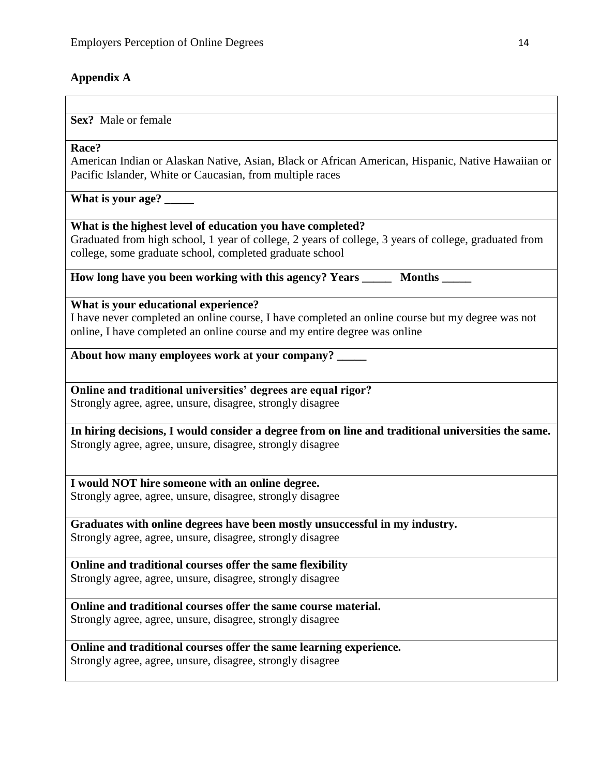# **Appendix A**

## **Sex?** Male or female

## **Race?**

American Indian or Alaskan Native, Asian, Black or African American, Hispanic, Native Hawaiian or Pacific Islander, White or Caucasian, from multiple races

**What is your age? \_\_\_\_\_**

**What is the highest level of education you have completed?**

Graduated from high school, 1 year of college, 2 years of college, 3 years of college, graduated from college, some graduate school, completed graduate school

**How long have you been working with this agency? Years Months Months Western Months Fig. 2.1 Months How Months** 

**What is your educational experience?** 

I have never completed an online course, I have completed an online course but my degree was not online, I have completed an online course and my entire degree was online

**About how many employees work at your company? \_\_\_\_\_**

**Online and traditional universities' degrees are equal rigor?** Strongly agree, agree, unsure, disagree, strongly disagree

**In hiring decisions, I would consider a degree from on line and traditional universities the same.** Strongly agree, agree, unsure, disagree, strongly disagree

**I would NOT hire someone with an online degree.** Strongly agree, agree, unsure, disagree, strongly disagree

**Graduates with online degrees have been mostly unsuccessful in my industry.** Strongly agree, agree, unsure, disagree, strongly disagree

**Online and traditional courses offer the same flexibility** Strongly agree, agree, unsure, disagree, strongly disagree

**Online and traditional courses offer the same course material.** Strongly agree, agree, unsure, disagree, strongly disagree

**Online and traditional courses offer the same learning experience.** Strongly agree, agree, unsure, disagree, strongly disagree